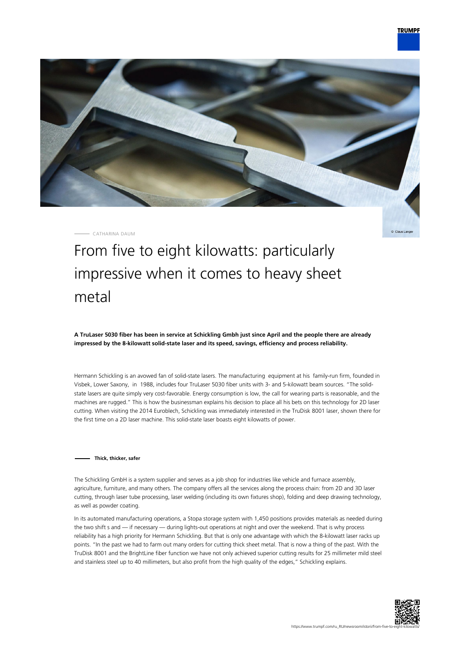

CATHARINA DAUM

Claus Lange

# From five to eight kilowatts: particularly impressive when it comes to heavy sheet metal

**A TruLaser 5030 fiber has been in service at Schickling Gmbh just since April and the people there are already impressed by the 8-kilowatt solid-state laser and its speed, savings, efficiency and process reliability.**

Hermann Schickling is an avowed fan of solid-state lasers. The manufacturing equipment at his family-run firm, founded in Visbek, Lower Saxony, in 1988, includes four TruLaser 5030 fiber units with 3- and 5-kilowatt beam sources. "The solidstate lasers are quite simply very cost-favorable. Energy consumption is low, the call for wearing parts is reasonable, and the machines are rugged." This is how the businessman explains his decision to place all his bets on this technology for 2D laser cutting. When visiting the 2014 Euroblech, Schickling was immediately interested in the TruDisk 8001 laser, shown there for the first time on a 2D laser machine. This solid-state laser boasts eight kilowatts of power.

#### **Thick, thicker, safer**

The Schickling GmbH is a system supplier and serves as a job shop for industries like vehicle and furnace assembly, agriculture, furniture, and many others. The company offers all the services along the process chain: from 2D and 3D laser cutting, through laser tube processing, laser welding (including its own fixtures shop), folding and deep drawing technology, as well as powder coating.

In its automated manufacturing operations, a Stopa storage system with 1,450 positions provides materials as needed during the two shift s and — if necessary — during lights-out operations at night and over the weekend. That is why process reliability has a high priority for Hermann Schickling. But that is only one advantage with which the 8-kilowatt laser racks up points. "In the past we had to farm out many orders for cutting thick sheet metal. That is now a thing of the past. With the TruDisk 8001 and the BrightLine fiber function we have not only achieved superior cutting results for 25 millimeter mild steel and stainless steel up to 40 millimeters, but also profit from the high quality of the edges," Schickling explains.

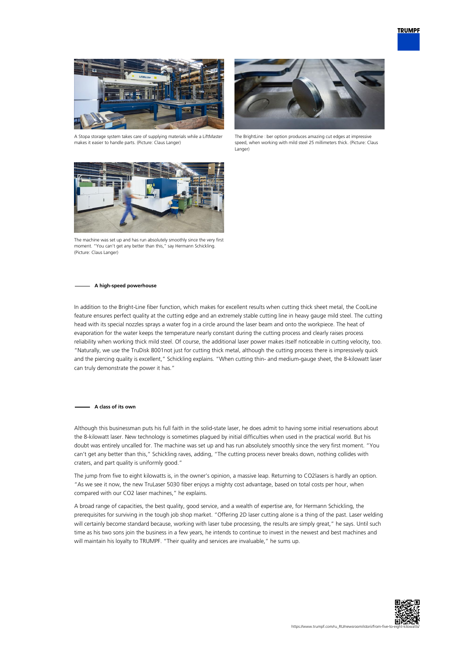

A Stopa storage system takes care of supplying materials while a LiftMaster makes it easier to handle parts. (Picture: Claus Langer)



The BrightLine ciber option produces amazing cut edges at impressive speed, when working with mild steel 25 millimeters thick. (Picture: Claus Langer)



The machine was set up and has run absolutely smoothly since the very first moment. "You can't get any better than this," say Hermann Schickling. (Picture: Claus Langer)

#### **A high-speed powerhouse**

In addition to the Bright-Line fiber function, which makes for excellent results when cutting thick sheet metal, the CoolLine feature ensures perfect quality at the cutting edge and an extremely stable cutting line in heavy gauge mild steel. The cutting head with its special nozzles sprays a water fog in a circle around the laser beam and onto the workpiece. The heat of evaporation for the water keeps the temperature nearly constant during the cutting process and clearly raises process reliability when working thick mild steel. Of course, the additional laser power makes itself noticeable in cutting velocity, too. "Naturally, we use the TruDisk 8001not just for cutting thick metal, although the cutting process there is impressively quick and the piercing quality is excellent," Schickling explains. "When cutting thin- and medium-gauge sheet, the 8-kilowatt laser can truly demonstrate the power it has."

#### **A class of its own**

Although this businessman puts his full faith in the solid-state laser, he does admit to having some initial reservations about the 8-kilowatt laser. New technology is sometimes plagued by initial difficulties when used in the practical world. But his doubt was entirely uncalled for. The machine was set up and has run absolutely smoothly since the very first moment. "You can't get any better than this," Schickling raves, adding, "The cutting process never breaks down, nothing collides with craters, and part quality is uniformly good."

The jump from five to eight kilowatts is, in the owner's opinion, a massive leap. Returning to CO2lasers is hardly an option. "As we see it now, the new TruLaser 5030 fiber enjoys a mighty cost advantage, based on total costs per hour, when compared with our CO2 laser machines," he explains.

A broad range of capacities, the best quality, good service, and a wealth of expertise are, for Hermann Schickling, the prerequisites for surviving in the tough job shop market. "Offering 2D laser cutting alone is a thing of the past. Laser welding will certainly become standard because, working with laser tube processing, the results are simply great," he says. Until such time as his two sons join the business in a few years, he intends to continue to invest in the newest and best machines and will maintain his loyalty to TRUMPF. "Their quality and services are invaluable," he sums up.